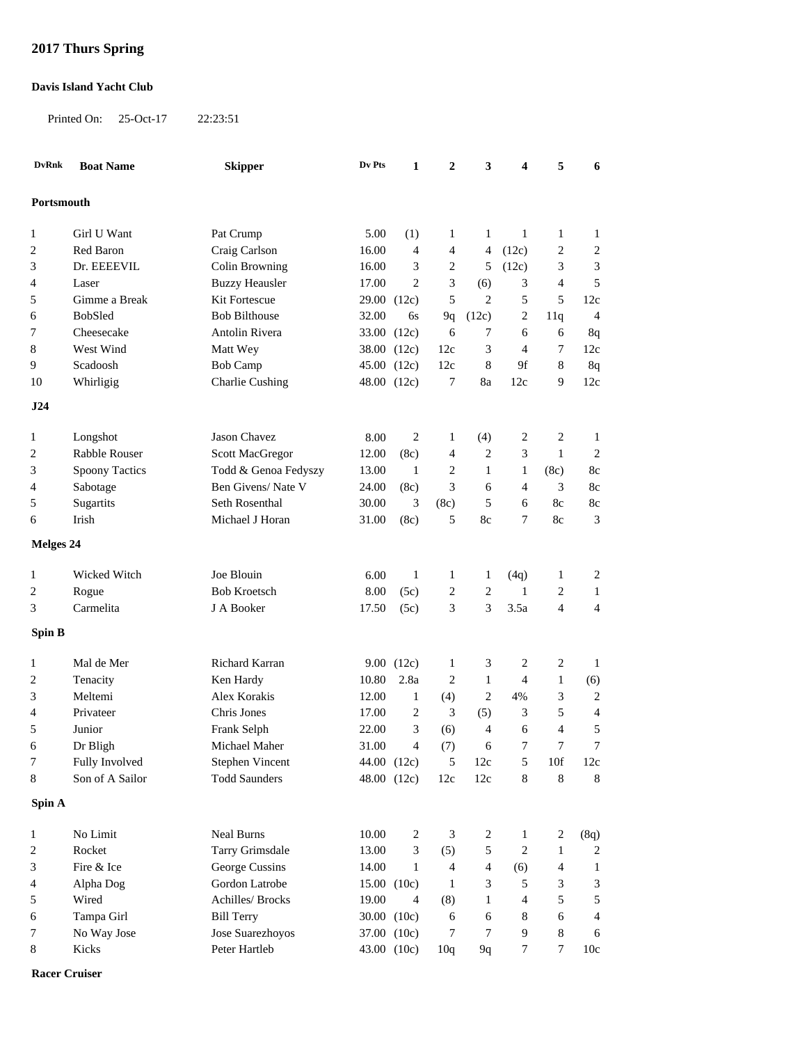## **2017 Thurs Spring**

## **Davis Island Yacht Club**

Printed On: 25-Oct-17 22:23:51

| Portsmouth               |  |  |  |  |  |  |  |  |  |
|--------------------------|--|--|--|--|--|--|--|--|--|
| $\mathbf{1}$             |  |  |  |  |  |  |  |  |  |
| $\overline{\mathbf{c}}$  |  |  |  |  |  |  |  |  |  |
| 3                        |  |  |  |  |  |  |  |  |  |
| 5                        |  |  |  |  |  |  |  |  |  |
| 12c                      |  |  |  |  |  |  |  |  |  |
| 4                        |  |  |  |  |  |  |  |  |  |
| 8q                       |  |  |  |  |  |  |  |  |  |
| 12c                      |  |  |  |  |  |  |  |  |  |
| 8q                       |  |  |  |  |  |  |  |  |  |
| 12c                      |  |  |  |  |  |  |  |  |  |
|                          |  |  |  |  |  |  |  |  |  |
| 1                        |  |  |  |  |  |  |  |  |  |
| $\overline{c}$           |  |  |  |  |  |  |  |  |  |
| 8c                       |  |  |  |  |  |  |  |  |  |
| 8c                       |  |  |  |  |  |  |  |  |  |
| $8\mathrm{c}$            |  |  |  |  |  |  |  |  |  |
| 3                        |  |  |  |  |  |  |  |  |  |
|                          |  |  |  |  |  |  |  |  |  |
|                          |  |  |  |  |  |  |  |  |  |
| $\overline{c}$           |  |  |  |  |  |  |  |  |  |
| $\mathbf{1}$             |  |  |  |  |  |  |  |  |  |
| $\overline{4}$           |  |  |  |  |  |  |  |  |  |
|                          |  |  |  |  |  |  |  |  |  |
| 1                        |  |  |  |  |  |  |  |  |  |
| (6)                      |  |  |  |  |  |  |  |  |  |
| 2                        |  |  |  |  |  |  |  |  |  |
| 4                        |  |  |  |  |  |  |  |  |  |
| 5                        |  |  |  |  |  |  |  |  |  |
| 7                        |  |  |  |  |  |  |  |  |  |
| 12c                      |  |  |  |  |  |  |  |  |  |
| $\,$ 8 $\,$              |  |  |  |  |  |  |  |  |  |
|                          |  |  |  |  |  |  |  |  |  |
| (8q)                     |  |  |  |  |  |  |  |  |  |
| 2                        |  |  |  |  |  |  |  |  |  |
| $\mathbf{1}$             |  |  |  |  |  |  |  |  |  |
| 3                        |  |  |  |  |  |  |  |  |  |
| 5                        |  |  |  |  |  |  |  |  |  |
| $\overline{\mathcal{A}}$ |  |  |  |  |  |  |  |  |  |
| 6                        |  |  |  |  |  |  |  |  |  |
| 10c                      |  |  |  |  |  |  |  |  |  |
|                          |  |  |  |  |  |  |  |  |  |

**Racer Cruiser**